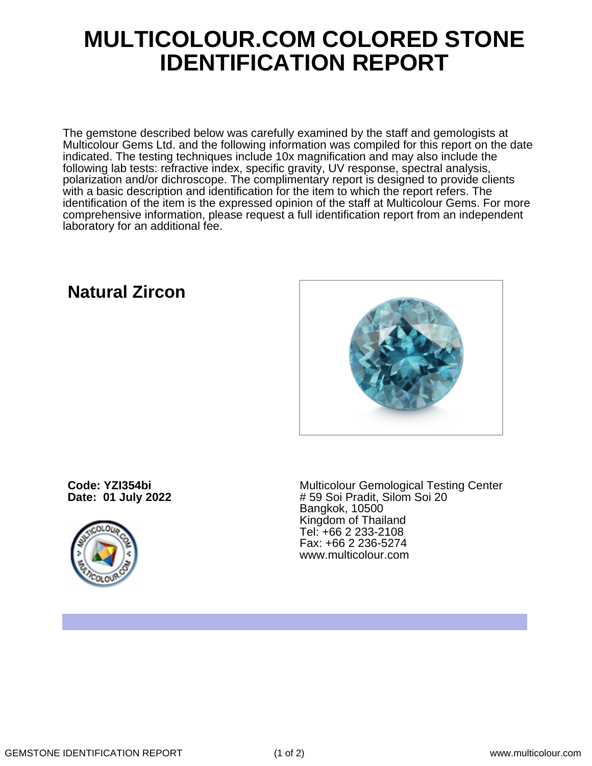## **MULTICOLOUR.COM COLORED STONE IDENTIFICATION REPORT**

The gemstone described below was carefully examined by the staff and gemologists at Multicolour Gems Ltd. and the following information was compiled for this report on the date indicated. The testing techniques include 10x magnification and may also include the following lab tests: refractive index, specific gravity, UV response, spectral analysis, polarization and/or dichroscope. The complimentary report is designed to provide clients with a basic description and identification for the item to which the report refers. The identification of the item is the expressed opinion of the staff at Multicolour Gems. For more comprehensive information, please request a full identification report from an independent laboratory for an additional fee.

## **Natural Zircon**



**Code: YZI354bi Date: 01 July 2022**



Multicolour Gemological Testing Center # 59 Soi Pradit, Silom Soi 20 Bangkok, 10500 Kingdom of Thailand Tel: +66 2 233-2108 Fax: +66 2 236-5274 www.multicolour.com